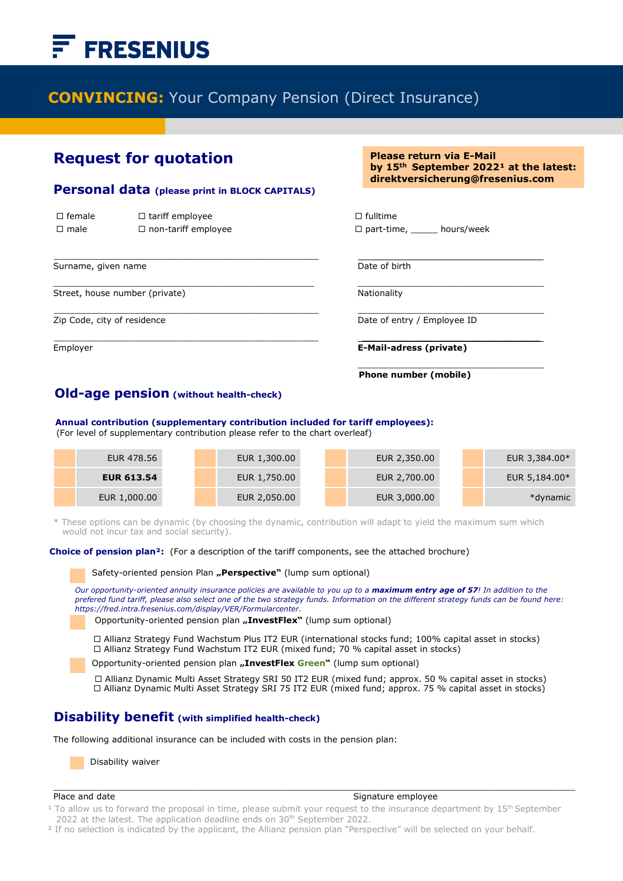# **FRESENIUS**

# **CONVINCING:** Your Company Pension (Direct Insurance)

i

## **Request for quotation**

#### **Personal data (please print in BLOCK CAPITALS)**

 $\mathcal{L}_\text{max}$  , and the contract of the contract of the contract of the contract of the contract of the contract of the contract of the contract of the contract of the contract of the contract of the contract of the contr

| $\Box$ female | $\Box$ tariff employee     | $\Box$ fulltime |
|---------------|----------------------------|-----------------|
| $\Box$ male   | $\Box$ non-tariff employee | $\Box$ part-tim |

Surname, given name **Date of birth** Date of birth

Street, house number (private) Nationality Nationality

Ī

**Please return via E-Mail** by 15<sup>th</sup> September 2022<sup>1</sup> at the latest: **direktversicherung@fresenius.com** 

 $\Box$  part-time, hours/week

 $\mathcal{L}_\text{max} = \frac{1}{2} \sum_{i=1}^{n} \frac{1}{2} \sum_{i=1}^{n} \frac{1}{2} \sum_{i=1}^{n} \frac{1}{2} \sum_{i=1}^{n} \frac{1}{2} \sum_{i=1}^{n} \frac{1}{2} \sum_{i=1}^{n} \frac{1}{2} \sum_{i=1}^{n} \frac{1}{2} \sum_{i=1}^{n} \frac{1}{2} \sum_{i=1}^{n} \frac{1}{2} \sum_{i=1}^{n} \frac{1}{2} \sum_{i=1}^{n} \frac{1}{2} \sum_{i=1}^{n} \frac{1$ 

Zip Code, city of residence  $\Box$  Date of entry / Employee ID

 $\mathcal{L}_\text{max} = \frac{1}{2} \sum_{i=1}^{n} \frac{1}{2} \sum_{i=1}^{n} \frac{1}{2} \sum_{i=1}^{n} \frac{1}{2} \sum_{i=1}^{n} \frac{1}{2} \sum_{i=1}^{n} \frac{1}{2} \sum_{i=1}^{n} \frac{1}{2} \sum_{i=1}^{n} \frac{1}{2} \sum_{i=1}^{n} \frac{1}{2} \sum_{i=1}^{n} \frac{1}{2} \sum_{i=1}^{n} \frac{1}{2} \sum_{i=1}^{n} \frac{1}{2} \sum_{i=1}^{n} \frac{1$ Employer **E-Mail-adress (private)**

**Phone number (mobile)**

\_\_\_\_\_\_\_\_\_\_\_\_\_\_\_\_\_\_\_\_\_\_\_\_\_\_\_\_\_\_\_\_\_\_\_

### **Old-age pension (without health-check)**

 **Annual contribution (supplementary contribution included for tariff employees):**

(For level of supplementary contribution please refer to the chart overleaf)

| EUR 478.56        | EUR 1,300.00 | EUR 2,350.00 |  | EUR 3,384.00* |
|-------------------|--------------|--------------|--|---------------|
| <b>EUR 613.54</b> | EUR 1,750.00 | EUR 2,700.00 |  | EUR 5,184.00* |
| EUR 1,000.00      | EUR 2,050.00 | EUR 3,000.00 |  | *dynamic      |

\* These options can be dynamic (by choosing the dynamic, contribution will adapt to yield the maximum sum which would not incur tax and social security).

 $\mathcal{L}_\text{max} = \frac{1}{2} \sum_{i=1}^{n} \frac{1}{2} \sum_{i=1}^{n} \frac{1}{2} \sum_{i=1}^{n} \frac{1}{2} \sum_{i=1}^{n} \frac{1}{2} \sum_{i=1}^{n} \frac{1}{2} \sum_{i=1}^{n} \frac{1}{2} \sum_{i=1}^{n} \frac{1}{2} \sum_{i=1}^{n} \frac{1}{2} \sum_{i=1}^{n} \frac{1}{2} \sum_{i=1}^{n} \frac{1}{2} \sum_{i=1}^{n} \frac{1}{2} \sum_{i=1}^{n} \frac{1$ 

 **Choice of pension plan²:** (For a description of the tariff components, see the attached brochure)

Safety-oriented pension Plan **"Perspective**" (lump sum optional)

*Our opportunity-oriented annuity insurance policies are available to you up to a maximum entry age of 57! In addition to the prefered fund tariff, please also select one of the two strategy funds. Information on the different strategy funds can be found here: https://fred.intra.fresenius.com/display/VER/Formularcenter.*

Opportunity-oriented pension plan **"InvestFlex"** (lump sum optional)

 Allianz Strategy Fund Wachstum Plus IT2 EUR (international stocks fund; 100% capital asset in stocks)  Allianz Strategy Fund Wachstum IT2 EUR (mixed fund; 70 % capital asset in stocks)

Opportunity-oriented pension plan "InvestFlex Green" (lump sum optional)

 Allianz Dynamic Multi Asset Strategy SRI 50 IT2 EUR (mixed fund; approx. 50 % capital asset in stocks) □ Allianz Dynamic Multi Asset Strategy SRI 75 IT2 EUR (mixed fund; approx. 75 % capital asset in stocks)

#### **Disability benefit (with simplified health-check)**

The following additional insurance can be included with costs in the pension plan:

Disability waiver

#### Place and date Signature employee

<sup>1</sup> To allow us to forward the proposal in time, please submit your request to the insurance department by 15<sup>th</sup> September 2022 at the latest. The application deadline ends on 30<sup>th</sup> September 2022.

 $\_$  ,  $\_$  ,  $\_$  ,  $\_$  ,  $\_$  ,  $\_$  ,  $\_$  ,  $\_$  ,  $\_$  ,  $\_$  ,  $\_$  ,  $\_$  ,  $\_$  ,  $\_$  ,  $\_$  ,  $\_$  ,  $\_$  ,  $\_$  ,  $\_$  ,  $\_$  ,  $\_$  ,  $\_$  ,  $\_$  ,  $\_$  ,  $\_$  ,  $\_$  ,  $\_$  ,  $\_$  ,  $\_$  ,  $\_$  ,  $\_$  ,  $\_$  ,  $\_$  ,  $\_$  ,  $\_$  ,  $\_$  ,  $\_$  ,

<sup>2</sup> If no selection is indicated by the applicant, the Allianz pension plan "Perspective" will be selected on your behalf.